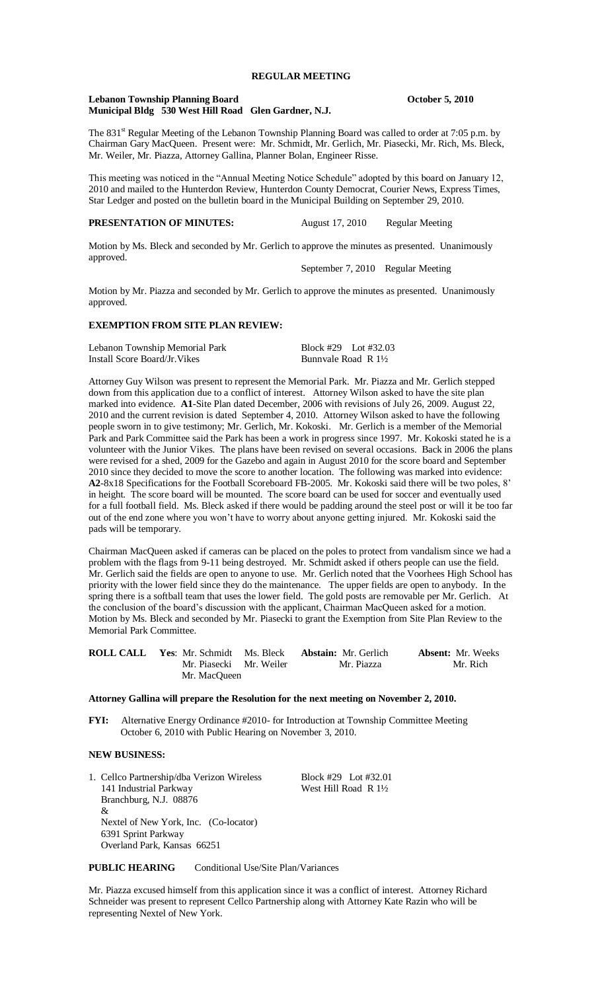#### **Lebanon Township Planning Board October 5, 2010 Municipal Bldg 530 West Hill Road Glen Gardner, N.J.**

The 831<sup>st</sup> Regular Meeting of the Lebanon Township Planning Board was called to order at 7:05 p.m. by Chairman Gary MacQueen. Present were: Mr. Schmidt, Mr. Gerlich, Mr. Piasecki, Mr. Rich, Ms. Bleck, Mr. Weiler, Mr. Piazza, Attorney Gallina, Planner Bolan, Engineer Risse.

This meeting was noticed in the "Annual Meeting Notice Schedule" adopted by this board on January 12, 2010 and mailed to the Hunterdon Review, Hunterdon County Democrat, Courier News, Express Times, Star Ledger and posted on the bulletin board in the Municipal Building on September 29, 2010.

## **PRESENTATION OF MINUTES:** August 17, 2010 Regular Meeting

approved.

Motion by Ms. Bleck and seconded by Mr. Gerlich to approve the minutes as presented. Unanimously

September 7, 2010 Regular Meeting

Motion by Mr. Piazza and seconded by Mr. Gerlich to approve the minutes as presented. Unanimously approved.

# **EXEMPTION FROM SITE PLAN REVIEW:**

| Lebanon Township Memorial Park | Block #29 Lot #32.03           |  |
|--------------------------------|--------------------------------|--|
| Install Score Board/Jr. Vikes  | Bunnyale Road R $1\frac{1}{2}$ |  |

Attorney Guy Wilson was present to represent the Memorial Park. Mr. Piazza and Mr. Gerlich stepped down from this application due to a conflict of interest. Attorney Wilson asked to have the site plan marked into evidence. **A1**-Site Plan dated December, 2006 with revisions of July 26, 2009. August 22, 2010 and the current revision is dated September 4, 2010. Attorney Wilson asked to have the following people sworn in to give testimony; Mr. Gerlich, Mr. Kokoski. Mr. Gerlich is a member of the Memorial Park and Park Committee said the Park has been a work in progress since 1997. Mr. Kokoski stated he is a volunteer with the Junior Vikes. The plans have been revised on several occasions. Back in 2006 the plans were revised for a shed, 2009 for the Gazebo and again in August 2010 for the score board and September 2010 since they decided to move the score to another location. The following was marked into evidence: **A2**-8x18 Specifications for the Football Scoreboard FB-2005. Mr. Kokoski said there will be two poles, 8' in height. The score board will be mounted. The score board can be used for soccer and eventually used for a full football field. Ms. Bleck asked if there would be padding around the steel post or will it be too far out of the end zone where you won't have to worry about anyone getting injured. Mr. Kokoski said the pads will be temporary.

Chairman MacQueen asked if cameras can be placed on the poles to protect from vandalism since we had a problem with the flags from 9-11 being destroyed. Mr. Schmidt asked if others people can use the field. Mr. Gerlich said the fields are open to anyone to use. Mr. Gerlich noted that the Voorhees High School has priority with the lower field since they do the maintenance. The upper fields are open to anybody. In the spring there is a softball team that uses the lower field. The gold posts are removable per Mr. Gerlich. At the conclusion of the board's discussion with the applicant, Chairman MacQueen asked for a motion. Motion by Ms. Bleck and seconded by Mr. Piasecki to grant the Exemption from Site Plan Review to the Memorial Park Committee.

|                         | <b>ROLL CALL</b> Yes: Mr. Schmidt Ms. Bleck <b>Abstain:</b> Mr. Gerlich | <b>Absent:</b> Mr. Weeks |
|-------------------------|-------------------------------------------------------------------------|--------------------------|
| Mr. Piasecki Mr. Weiler | Mr. Piazza                                                              | Mr. Rich                 |
| Mr. MacOueen            |                                                                         |                          |

#### **Attorney Gallina will prepare the Resolution for the next meeting on November 2, 2010.**

**FYI:** Alternative Energy Ordinance #2010- for Introduction at Township Committee Meeting October 6, 2010 with Public Hearing on November 3, 2010.

## **NEW BUSINESS:**

1. Cellco Partnership/dba Verizon Wireless Block #29 Lot #32.01 141 Industrial Parkway West Hill Road R 1<sup>1</sup>/<sub>2</sub> Branchburg, N.J. 08876 & Nextel of New York, Inc. (Co-locator) 6391 Sprint Parkway Overland Park, Kansas 66251

**PUBLIC HEARING** Conditional Use/Site Plan/Variances

Mr. Piazza excused himself from this application since it was a conflict of interest. Attorney Richard Schneider was present to represent Cellco Partnership along with Attorney Kate Razin who will be representing Nextel of New York.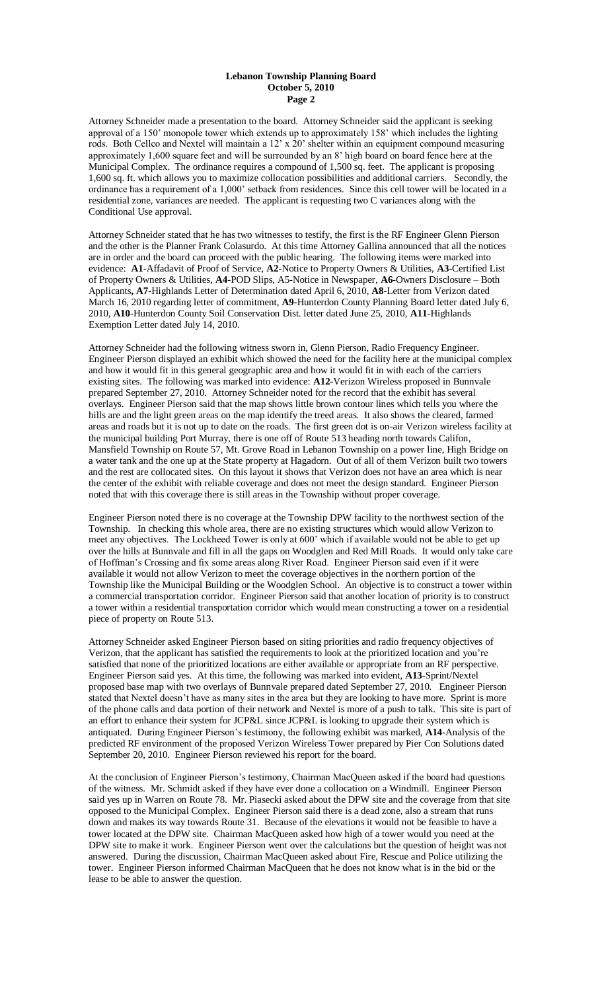#### **Lebanon Township Planning Board October 5, 2010 Page 2**

Attorney Schneider made a presentation to the board. Attorney Schneider said the applicant is seeking approval of a 150' monopole tower which extends up to approximately 158' which includes the lighting rods. Both Cellco and Nextel will maintain a 12' x 20' shelter within an equipment compound measuring approximately 1,600 square feet and will be surrounded by an 8' high board on board fence here at the Municipal Complex. The ordinance requires a compound of 1,500 sq. feet. The applicant is proposing 1,600 sq. ft. which allows you to maximize collocation possibilities and additional carriers. Secondly, the ordinance has a requirement of a 1,000' setback from residences. Since this cell tower will be located in a residential zone, variances are needed. The applicant is requesting two C variances along with the Conditional Use approval.

Attorney Schneider stated that he has two witnesses to testify, the first is the RF Engineer Glenn Pierson and the other is the Planner Frank Colasurdo. At this time Attorney Gallina announced that all the notices are in order and the board can proceed with the public hearing. The following items were marked into evidence: **A1**-Affadavit of Proof of Service, **A2**-Notice to Property Owners & Utilities, **A3**-Certified List of Property Owners & Utilities, **A4**-POD Slips, A5-Notice in Newspaper, **A6**-Owners Disclosure – Both Applicants**, A7-**Highlands Letter of Determination dated April 6, 2010, **A8**-Letter from Verizon dated March 16, 2010 regarding letter of commitment, **A9-**Hunterdon County Planning Board letter dated July 6, 2010, **A10**-Hunterdon County Soil Conservation Dist. letter dated June 25, 2010, **A11**-Highlands Exemption Letter dated July 14, 2010.

Attorney Schneider had the following witness sworn in, Glenn Pierson, Radio Frequency Engineer. Engineer Pierson displayed an exhibit which showed the need for the facility here at the municipal complex and how it would fit in this general geographic area and how it would fit in with each of the carriers existing sites. The following was marked into evidence: **A12-**Verizon Wireless proposed in Bunnvale prepared September 27, 2010. Attorney Schneider noted for the record that the exhibit has several overlays. Engineer Pierson said that the map shows little brown contour lines which tells you where the hills are and the light green areas on the map identify the treed areas. It also shows the cleared, farmed areas and roads but it is not up to date on the roads. The first green dot is on-air Verizon wireless facility at the municipal building Port Murray, there is one off of Route 513 heading north towards Califon, Mansfield Township on Route 57, Mt. Grove Road in Lebanon Township on a power line, High Bridge on a water tank and the one up at the State property at Hagadorn. Out of all of them Verizon built two towers and the rest are collocated sites. On this layout it shows that Verizon does not have an area which is near the center of the exhibit with reliable coverage and does not meet the design standard. Engineer Pierson noted that with this coverage there is still areas in the Township without proper coverage.

Engineer Pierson noted there is no coverage at the Township DPW facility to the northwest section of the Township. In checking this whole area, there are no existing structures which would allow Verizon to meet any objectives. The Lockheed Tower is only at 600' which if available would not be able to get up over the hills at Bunnvale and fill in all the gaps on Woodglen and Red Mill Roads. It would only take care of Hoffman's Crossing and fix some areas along River Road. Engineer Pierson said even if it were available it would not allow Verizon to meet the coverage objectives in the northern portion of the Township like the Municipal Building or the Woodglen School. An objective is to construct a tower within a commercial transportation corridor. Engineer Pierson said that another location of priority is to construct a tower within a residential transportation corridor which would mean constructing a tower on a residential piece of property on Route 513.

Attorney Schneider asked Engineer Pierson based on siting priorities and radio frequency objectives of Verizon, that the applicant has satisfied the requirements to look at the prioritized location and you're satisfied that none of the prioritized locations are either available or appropriate from an RF perspective. Engineer Pierson said yes. At this time, the following was marked into evident, **A13**-Sprint/Nextel proposed base map with two overlays of Bunnvale prepared dated September 27, 2010. Engineer Pierson stated that Nextel doesn't have as many sites in the area but they are looking to have more. Sprint is more of the phone calls and data portion of their network and Nextel is more of a push to talk. This site is part of an effort to enhance their system for JCP&L since JCP&L is looking to upgrade their system which is antiquated. During Engineer Pierson's testimony, the following exhibit was marked, **A14-**Analysis of the predicted RF environment of the proposed Verizon Wireless Tower prepared by Pier Con Solutions dated September 20, 2010. Engineer Pierson reviewed his report for the board.

At the conclusion of Engineer Pierson's testimony, Chairman MacQueen asked if the board had questions of the witness. Mr. Schmidt asked if they have ever done a collocation on a Windmill. Engineer Pierson said yes up in Warren on Route 78. Mr. Piasecki asked about the DPW site and the coverage from that site opposed to the Municipal Complex. Engineer Pierson said there is a dead zone, also a stream that runs down and makes its way towards Route 31. Because of the elevations it would not be feasible to have a tower located at the DPW site. Chairman MacQueen asked how high of a tower would you need at the DPW site to make it work. Engineer Pierson went over the calculations but the question of height was not answered. During the discussion, Chairman MacQueen asked about Fire, Rescue and Police utilizing the tower. Engineer Pierson informed Chairman MacQueen that he does not know what is in the bid or the lease to be able to answer the question.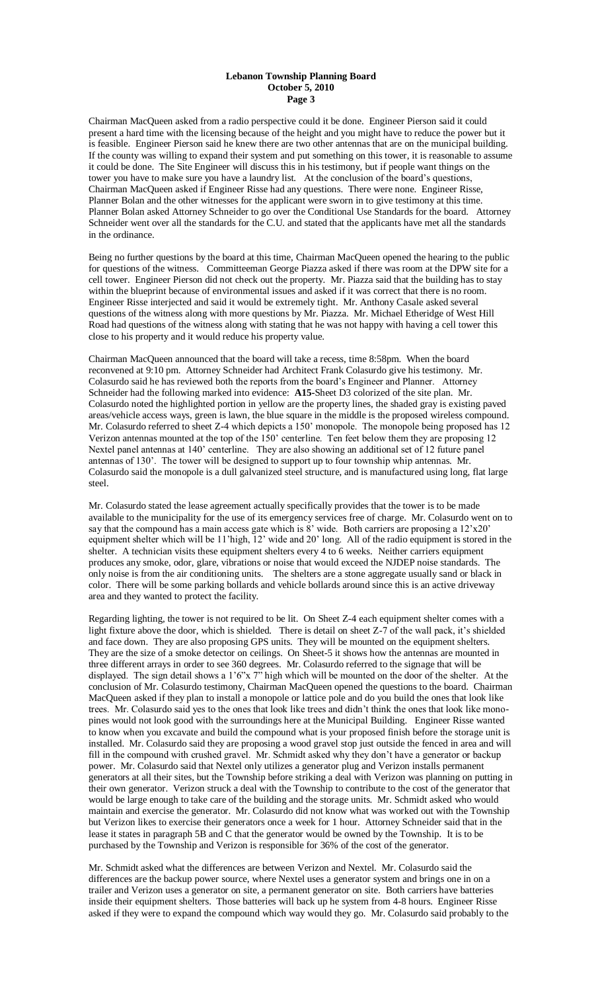#### **Lebanon Township Planning Board October 5, 2010 Page 3**

Chairman MacQueen asked from a radio perspective could it be done. Engineer Pierson said it could present a hard time with the licensing because of the height and you might have to reduce the power but it is feasible. Engineer Pierson said he knew there are two other antennas that are on the municipal building. If the county was willing to expand their system and put something on this tower, it is reasonable to assume it could be done. The Site Engineer will discuss this in his testimony, but if people want things on the tower you have to make sure you have a laundry list. At the conclusion of the board's questions, Chairman MacQueen asked if Engineer Risse had any questions. There were none. Engineer Risse, Planner Bolan and the other witnesses for the applicant were sworn in to give testimony at this time. Planner Bolan asked Attorney Schneider to go over the Conditional Use Standards for the board. Attorney Schneider went over all the standards for the C.U. and stated that the applicants have met all the standards in the ordinance.

Being no further questions by the board at this time, Chairman MacQueen opened the hearing to the public for questions of the witness. Committeeman George Piazza asked if there was room at the DPW site for a cell tower. Engineer Pierson did not check out the property. Mr. Piazza said that the building has to stay within the blueprint because of environmental issues and asked if it was correct that there is no room. Engineer Risse interjected and said it would be extremely tight. Mr. Anthony Casale asked several questions of the witness along with more questions by Mr. Piazza. Mr. Michael Etheridge of West Hill Road had questions of the witness along with stating that he was not happy with having a cell tower this close to his property and it would reduce his property value.

Chairman MacQueen announced that the board will take a recess, time 8:58pm. When the board reconvened at 9:10 pm. Attorney Schneider had Architect Frank Colasurdo give his testimony. Mr. Colasurdo said he has reviewed both the reports from the board's Engineer and Planner. Attorney Schneider had the following marked into evidence: **A15-**Sheet D3 colorized of the site plan. Mr. Colasurdo noted the highlighted portion in yellow are the property lines, the shaded gray is existing paved areas/vehicle access ways, green is lawn, the blue square in the middle is the proposed wireless compound. Mr. Colasurdo referred to sheet Z-4 which depicts a 150' monopole. The monopole being proposed has 12 Verizon antennas mounted at the top of the 150' centerline. Ten feet below them they are proposing 12 Nextel panel antennas at 140' centerline. They are also showing an additional set of 12 future panel antennas of 130'. The tower will be designed to support up to four township whip antennas. Mr. Colasurdo said the monopole is a dull galvanized steel structure, and is manufactured using long, flat large steel.

Mr. Colasurdo stated the lease agreement actually specifically provides that the tower is to be made available to the municipality for the use of its emergency services free of charge. Mr. Colasurdo went on to say that the compound has a main access gate which is 8' wide. Both carriers are proposing a  $12'x20'$ equipment shelter which will be 11'high, 12' wide and 20' long. All of the radio equipment is stored in the shelter. A technician visits these equipment shelters every 4 to 6 weeks. Neither carriers equipment produces any smoke, odor, glare, vibrations or noise that would exceed the NJDEP noise standards. The only noise is from the air conditioning units. The shelters are a stone aggregate usually sand or black in color. There will be some parking bollards and vehicle bollards around since this is an active driveway area and they wanted to protect the facility.

Regarding lighting, the tower is not required to be lit. On Sheet Z-4 each equipment shelter comes with a light fixture above the door, which is shielded. There is detail on sheet Z-7 of the wall pack, it's shielded and face down. They are also proposing GPS units. They will be mounted on the equipment shelters. They are the size of a smoke detector on ceilings. On Sheet-5 it shows how the antennas are mounted in three different arrays in order to see 360 degrees. Mr. Colasurdo referred to the signage that will be displayed. The sign detail shows a 1'6"x 7" high which will be mounted on the door of the shelter. At the conclusion of Mr. Colasurdo testimony, Chairman MacQueen opened the questions to the board. Chairman MacQueen asked if they plan to install a monopole or lattice pole and do you build the ones that look like trees. Mr. Colasurdo said yes to the ones that look like trees and didn't think the ones that look like monopines would not look good with the surroundings here at the Municipal Building. Engineer Risse wanted to know when you excavate and build the compound what is your proposed finish before the storage unit is installed. Mr. Colasurdo said they are proposing a wood gravel stop just outside the fenced in area and will fill in the compound with crushed gravel. Mr. Schmidt asked why they don't have a generator or backup power. Mr. Colasurdo said that Nextel only utilizes a generator plug and Verizon installs permanent generators at all their sites, but the Township before striking a deal with Verizon was planning on putting in their own generator. Verizon struck a deal with the Township to contribute to the cost of the generator that would be large enough to take care of the building and the storage units. Mr. Schmidt asked who would maintain and exercise the generator. Mr. Colasurdo did not know what was worked out with the Township but Verizon likes to exercise their generators once a week for 1 hour. Attorney Schneider said that in the lease it states in paragraph 5B and C that the generator would be owned by the Township. It is to be purchased by the Township and Verizon is responsible for 36% of the cost of the generator.

Mr. Schmidt asked what the differences are between Verizon and Nextel. Mr. Colasurdo said the differences are the backup power source, where Nextel uses a generator system and brings one in on a trailer and Verizon uses a generator on site, a permanent generator on site. Both carriers have batteries inside their equipment shelters. Those batteries will back up he system from 4-8 hours. Engineer Risse asked if they were to expand the compound which way would they go. Mr. Colasurdo said probably to the